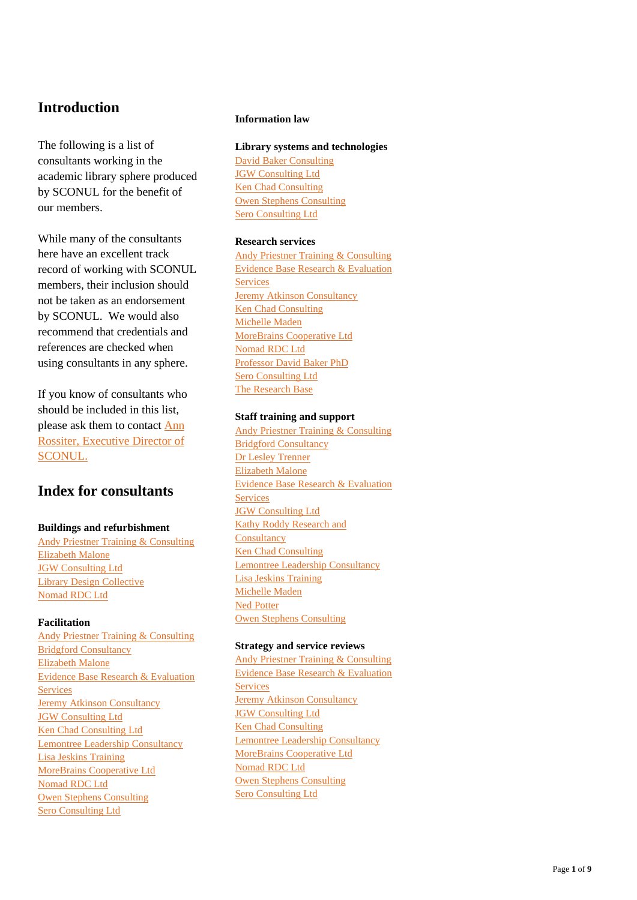## **Introduction**

The following is a list of consultants working in the academic library sphere produced by SCONUL for the benefit of our members.

While many of the consultants here have an excellent track record of working with SCONUL members, their inclusion should not be taken as an endorsement by SCONUL. We would also recommend that credentials and references are checked when using consultants in any sphere.

If you know of consultants who should be included in this list, please ask them to contact Ann Rossiter, Executive Director of SCONUL.

# **Index for consultants**

## **Buildings and refurbishment**

Andy Priestner Training & Consulting Elizabeth Malone JGW Consulting Ltd Library Design Collective Nomad RDC Ltd

## **Facilitation**

Andy Priestner Training & Consulting Bridgford Consultancy Elizabeth Malone Evidence Base Research & Evaluation **Services** Jeremy Atkinson Consultancy JGW Consulting Ltd Ken Chad Consulting Ltd Lemontree Leadership Consultancy Lisa Jeskins Training MoreBrains Cooperative Ltd Nomad RDC Ltd Owen Stephens Consulting Sero Consulting Ltd

### **Information law**

**Library systems and technologies** David Baker Consulting JGW Consulting Ltd Ken Chad Consulting Owen Stephens Consulting Sero Consulting Ltd

## **Research services**

Andy Priestner Training & Consulting Evidence Base Research & Evaluation **Services** Jeremy Atkinson Consultancy Ken Chad Consulting Michelle Maden MoreBrains Cooperative Ltd Nomad RDC Ltd Professor David Baker P h D Sero Consulting Ltd The Research Base

## **Staff training and support**

Andy Priestner Training & Consulting Bridgford Consultanc y Dr Lesley Trenner Elizabeth Malone Evidence Base Research & Evaluation **Services JGW Consulting Ltd** Kathy Roddy Research and **Consultancy** Ken Chad Consulting Lemontree Leadership Consultancy Lisa Je skins Training Michelle Maden Ned Potter Owen Stephens Consulting

## **Strategy and service reviews**

Andy Priestner Training & Consulting Evidence Base Research & Evaluation **Services** Jeremy Atkinson Consultancy JGW Consulting Ltd Ken Chad Consulting Lemontree Leadership Consultancy MoreBrains Cooperative Ltd Nomad RDC Ltd Owen Stephens Consulting Sero Consulting Ltd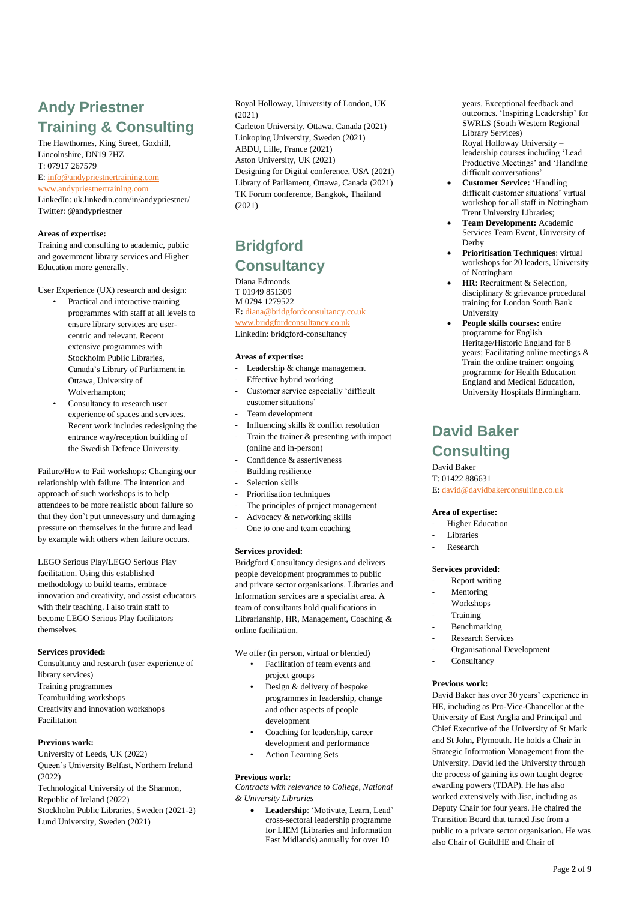# **Andy Priestner Training & Consulting**

The Hawthornes, King Street, Goxhill, Lincolnshire, DN19 7HZ T: 07917 267579 E: info@andypriestnertraining.com www.andypriestnertraining.com

LinkedIn: uk.linkedin.com/in/andypriestner/ Twitter: @andypriestner

### **Areas of expertise:**

Training and consulting to academic, public and government library services and Higher Education more generally.

User Experience (UX) research and design:

- Practical and interactive training programmes with staff at all levels to ensure library services are usercentric and relevant. Recent extensive programmes with Stockholm Public Libraries, Canada's Library of Parliament in Ottawa, University of Wolverhampton;
- Consultancy to research user experience of spaces and services. Recent work includes redesigning the entrance way/reception building of the Swedish Defence University.

Failure/How to Fail workshops: Changing our relationship with failure. The intention and approach of such workshops is to help attendees to be more realistic about failure so that they don't put unnecessary and damaging pressure on themselves in the future and lead by example with others when failure occurs.

LEGO Serious Play/LEGO Serious Play facilitation. Using this established methodology to build teams, embrace innovation and creativity, and assist educators with their teaching. I also train staff to become LEGO Serious Play facilitators themselves.

### **Services provided:**

Consultancy and research (user experience of library services) Training programmes Teambuilding workshops Creativity and innovation workshops Facilitation

### **Previous work:**

University of Leeds, UK (2022) Queen's University Belfast, Northern Ireland (2022) Technological University of the Shannon, Republic of Ireland (2022) Stockholm Public Libraries, Sweden (2021-2) Lund University, Sweden (2021)

Royal Holloway, University of London, UK  $(2021)$ Carleton University, Ottawa, Canada (2021) Linkoping University, Sweden (2021) ABDU, Lille, France (2021) Aston University, UK (2021) Designing for Digital conference, USA (2021) Library of Parliament, Ottawa, Canada (2021) TK Forum conference, Bangkok, Thailand (2021)

# **Bridgford Consultancy**

Diana Edmonds T 01949 851309 M 0794 1279522 E**:** diana@bridgfordconsultancy.co.uk

www.bridgfordconsultancy.co.uk LinkedIn: bridgford-consultancy

#### **Areas of expertise:**

- Leadership & change management
- Effective hybrid working
- Customer service especially 'difficult customer situations'
- Team development
- Influencing skills & conflict resolution
- Train the trainer & presenting with impact (online and in-person)
- Confidence & assertiveness
- Building resilience
- Selection skills
- Prioritisation techniques
- The principles of project management
- Advocacy & networking skills
- One to one and team coaching

### **Services provided:**

Bridgford Consultancy designs and delivers people development programmes to public and private sector organisations. Libraries and Information services are a specialist area. A team of consultants hold qualifications in Librarianship, HR, Management, Coaching & online facilitation.

We offer (in person, virtual or blended)

- Facilitation of team events and project groups
- Design & delivery of bespoke programmes in leadership, change and other aspects of people development
- Coaching for leadership, career development and performance
- Action Learning Sets

### **Previous work:**

*Contracts with relevance to College, National & University Libraries*

• **Leadership**: 'Motivate, Learn, Lead' cross-sectoral leadership programme for LIEM (Libraries and Information East Midlands) annually for over 10

years. Exceptional feedback and outcomes. 'Inspiring Leadership' for SWRLS (South Western Regional Library Services) Royal Holloway University – leadership courses including 'Lead Productive Meetings' and 'Handling difficult conversations'

- **Customer Service:** 'Handling difficult customer situations' virtual workshop for all staff in Nottingham Trent University Libraries;
- **Team Development:** Academic Services Team Event, University of Derby
- **Prioritisation Techniques**: virtual workshops for 20 leaders, University of Nottingham
- **HR**: Recruitment & Selection, disciplinary & grievance procedural training for London South Bank University
- **People skills courses:** entire programme for English Heritage/Historic England for 8 years; Facilitating online meetings & Train the online trainer: ongoing programme for Health Education England and Medical Education, University Hospitals Birmingham.

## **David Baker**

## **Consulting**

David Baker T: 01422 886631 E: david@davidbakerconsulting.co.uk

#### **Area of expertise:**

- Higher Education
- Libraries
- Research

### **Services provided:**

- Report writing
- Mentoring
- Workshops
- **Training**
- **Benchmarking**
- Research Services
- Organisational Development
- Consultancy

### **Previous work:**

David Baker has over 30 years' experience in HE, including as Pro-Vice-Chancellor at the University of East Anglia and Principal and Chief Executive of the University of St Mark and St John, Plymouth. He holds a Chair in Strategic Information Management from the University. David led the University through the process of gaining its own taught degree awarding powers (TDAP). He has also worked extensively with Jisc, including as Deputy Chair for four years. He chaired the Transition Board that turned Jisc from a public to a private sector organisation. He was also Chair of GuildHE and Chair of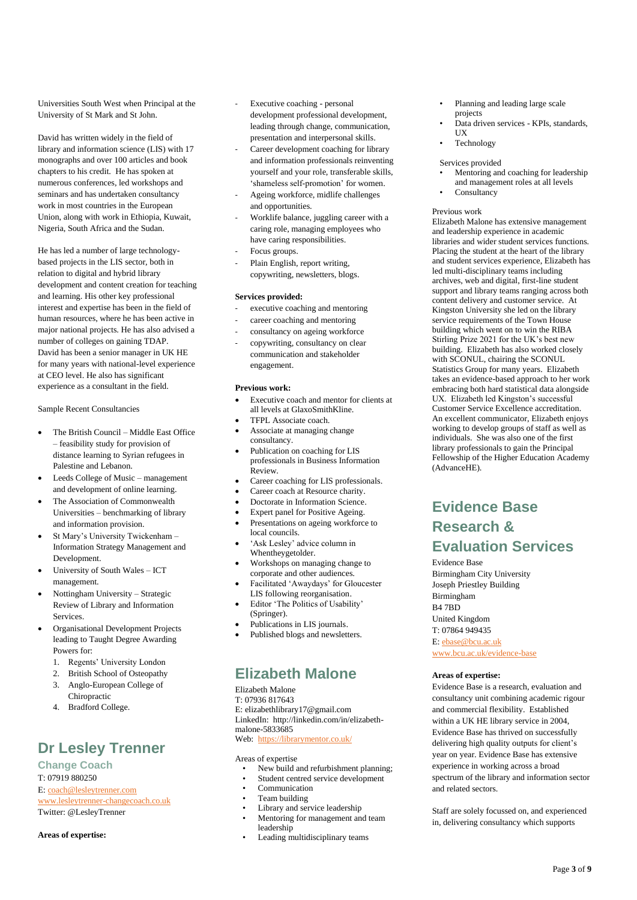Universities South West when Principal at the University of St Mark and St John.

David has written widely in the field of library and information science (LIS) with 17 monographs and over 100 articles and book chapters to his credit. He has spoken at numerous conferences, led workshops and seminars and has undertaken consultancy work in most countries in the European Union, along with work in Ethiopia, Kuwait, Nigeria, South Africa and the Sudan.

He has led a number of large technologybased projects in the LIS sector, both in relation to digital and hybrid library development and content creation for teaching and learning. His other key professional interest and expertise has been in the field of human resources, where he has been active in major national projects. He has also advised a number of colleges on gaining TDAP. David has been a senior manager in UK HE for many years with national-level experience at CEO level. He also has significant experience as a consultant in the field.

Sample Recent Consultancies

- The British Council Middle East Office – feasibility study for provision of distance learning to Syrian refugees in Palestine and Lebanon.
- Leeds College of Music management and development of online learning.
- The Association of Commonwealth Universities – benchmarking of library and information provision.
- St Mary's University Twickenham Information Strategy Management and Development.
- University of South Wales ICT management.
- Nottingham University Strategic Review of Library and Information Services.
- Organisational Development Projects leading to Taught Degree Awarding Powers for:
	- 1. Regents' University London
	- 2. British School of Osteopathy
	- 3. Anglo-European College of Chiropractic
	- 4. Bradford College.

# **Dr Lesley Trenner**

**Change Coach** T: 07919 880250 E: coach@lesleytrenner.com www.lesleytrenner-changecoach.co.uk Twitter: @LesleyTrenner

**Areas of expertise:**

- Executive coaching personal development professional development, leading through change, communication, presentation and interpersonal skills.
- Career development coaching for library and information professionals reinventing yourself and your role, transferable skills, 'shameless self-promotion' for women.
- Ageing workforce, midlife challenges and opportunities.
- Worklife balance, juggling career with a caring role, managing employees who have caring responsibilities.
- Focus groups.
- Plain English, report writing, copywriting, newsletters, blogs.

### **Services provided:**

- executive coaching and mentoring
- career coaching and mentoring
- consultancy on ageing workforce
- copywriting, consultancy on clear communication and stakeholder engagement.

### **Previous work:**

- Executive coach and mentor for clients at all levels at GlaxoSmithKline.
- TFPL Associate coach.
- Associate at managing change consultancy.
- Publication on coaching for LIS professionals in Business Information Review.
- Career coaching for LIS professionals. Career coach at Resource charity.
- Doctorate in Information Science.
- Expert panel for Positive Ageing.
- Presentations on ageing workforce to
- local councils. • 'Ask Lesley' advice column in
- Whentheygetolder. • Workshops on managing change to
- corporate and other audiences.
- Facilitated 'Awaydays' for Gloucester LIS following reorganisation.
- Editor 'The Politics of Usability' (Springer).
- Publications in LIS journals.
- Published blogs and newsletters.

# **Elizabeth Malone**

Elizabeth Malone T: 07936 817643 E: elizabethlibrary17@gmail.com LinkedIn: http://linkedin.com/in/elizabethmalone-5833685 Web: https://librarymentor.co.uk/

Areas of expertise

- New build and refurbishment planning;
- Student centred service development
- Communication
- Team building
- Library and service leadership
- Mentoring for management and team leadership
- Leading multidisciplinary teams
- Planning and leading large scale projects
- Data driven services KPIs, standards, **UX**
- **Technology**

Services provided

- Mentoring and coaching for leadership and management roles at all levels
- Consultancy

### Previous work

Elizabeth Malone has extensive management and leadership experience in academic libraries and wider student services functions. Placing the student at the heart of the library and student services experience, Elizabeth has led multi-disciplinary teams including archives, web and digital, first-line student support and library teams ranging across both content delivery and customer service. At Kingston University she led on the library service requirements of the Town House building which went on to win the RIBA Stirling Prize 2021 for the UK's best new building. Elizabeth has also worked closely with SCONUL, chairing the SCONUL Statistics Group for many years. Elizabeth takes an evidence-based approach to her work embracing both hard statistical data alongside UX. Elizabeth led Kingston's successful Customer Service Excellence accreditation. An excellent communicator, Elizabeth enjoys working to develop groups of staff as well as individuals. She was also one of the first library professionals to gain the Principal Fellowship of the Higher Education Academy (AdvanceHE).

# **Evidence Base Research & Evaluation Services**

Evidence Base Birmingham City University Joseph Priestley Building Birmingham B4 7BD United Kingdom T: 07864 949435 E: ebase@bcu.ac.uk www.bcu.ac.uk/evidence-base

### **Areas of expertise:**

Evidence Base is a research, evaluation and consultancy unit combining academic rigour and commercial flexibility. Established within a UK HE library service in 2004, Evidence Base has thrived on successfully delivering high quality outputs for client's year on year. Evidence Base has extensive experience in working across a broad spectrum of the library and information sector and related sectors.

Staff are solely focussed on, and experienced in, delivering consultancy which supports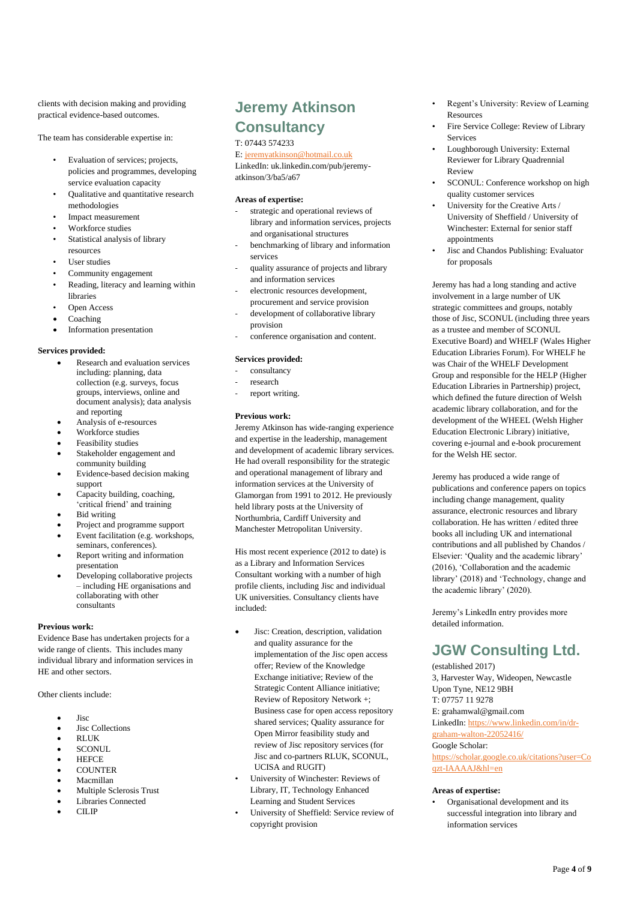clients with decision making and providing practical evidence-based outcomes.

The team has considerable expertise in:

- Evaluation of services; projects, policies and programmes, developing service evaluation capacity
- Qualitative and quantitative research methodologies
- Impact measurement
- Workforce studies
- Statistical analysis of library resources
- User studies
- Community engagement
- Reading, literacy and learning within libraries
- Open Access
- Coaching
- Information presentation

### **Services provided:**

- Research and evaluation services including: planning, data collection (e.g. surveys, focus groups, interviews, online and document analysis); data analysis and reporting
- Analysis of e-resources
- Workforce studies
- Feasibility studies
- Stakeholder engagement and community building
- Evidence-based decision making support
- Capacity building, coaching, 'critical friend' and training
- Bid writing
- Project and programme support
- Event facilitation (e.g. workshops, seminars, conferences).
- Report writing and information presentation
- Developing collaborative projects – including HE organisations and collaborating with other consultants

### **Previous work:**

Evidence Base has undertaken projects for a wide range of clients. This includes many individual library and information services in HE and other sectors.

Other clients include:

- Jisc
- Jisc Collections
- RLUK
- $\cdot$  SCONUL
- **HEFCE**
- COUNTER
- Macmillan
- Multiple Sclerosis Trust
- Libraries Connected
- CILIP

# **Jeremy Atkinson Consultancy**

### T: 07443 574233

### E: jeremyatkinson@hotmail.co.uk

LinkedIn: uk.linkedin.com/pub/jeremyatkinson/3/ba5/a67

### **Areas of expertise:**

- strategic and operational reviews of library and information services, projects and organisational structures
- benchmarking of library and information services
- quality assurance of projects and library and information services
- electronic resources development,
- procurement and service provision development of collaborative library provision
- conference organisation and content.

### **Services provided:**

- consultancy
- research
- report writing.

### **Previous work:**

Jeremy Atkinson has wide-ranging experience and expertise in the leadership, management and development of academic library services. He had overall responsibility for the strategic and operational management of library and information services at the University of Glamorgan from 1991 to 2012. He previously held library posts at the University of Northumbria, Cardiff University and Manchester Metropolitan University.

His most recent experience (2012 to date) is as a Library and Information Services Consultant working with a number of high profile clients, including Jisc and individual UK universities. Consultancy clients have included:

- Jisc: Creation, description, validation and quality assurance for the implementation of the Jisc open access offer; Review of the Knowledge Exchange initiative; Review of the Strategic Content Alliance initiative; Review of Repository Network +; Business case for open access repository shared services; Quality assurance for Open Mirror feasibility study and review of Jisc repository services (for Jisc and co-partners RLUK, SCONUL, UCISA and RUGIT)
- University of Winchester: Reviews of Library, IT, Technology Enhanced Learning and Student Services
- University of Sheffield: Service review of copyright provision
- Regent's University: Review of Learning Resources
- Fire Service College: Review of Library **Services**
- Loughborough University: External Reviewer for Library Quadrennial Review
- SCONUL: Conference workshop on high quality customer services
- University for the Creative Arts / University of Sheffield / University of Winchester: External for senior staff appointments
- Jisc and Chandos Publishing: Evaluator for proposals

Jeremy has had a long standing and active involvement in a large number of UK strategic committees and groups, notably those of Jisc, SCONUL (including three years as a trustee and member of SCONUL Executive Board) and WHELF (Wales Higher Education Libraries Forum). For WHELF he was Chair of the WHELF Development Group and responsible for the HELP (Higher Education Libraries in Partnership) project, which defined the future direction of Welsh academic library collaboration, and for the development of the WHEEL (Welsh Higher Education Electronic Library) initiative, covering e-journal and e-book procurement for the Welsh HE sector.

Jeremy has produced a wide range of publications and conference papers on topics including change management, quality assurance, electronic resources and library collaboration. He has written / edited three books all including UK and international contributions and all published by Chandos / Elsevier: 'Quality and the academic library' (2016), 'Collaboration and the academic library' (2018) and 'Technology, change and the academic library' (2020).

Jeremy's LinkedIn entry provides more detailed information.

## **JGW Consulting Ltd.**

(established 2017) 3, Harvester Way, Wideopen, Newcastle Upon Tyne, NE12 9BH T: 07757 11 9278 E: grahamwal@gmail.com LinkedIn: https://www.linkedin.com/in/drgraham-walton-22052416/ Google Scholar: https://scholar.google.co.uk/citations?user=Co qzt-IAAAAJ&hl=en

### **Areas of expertise:**

• Organisational development and its successful integration into library and information services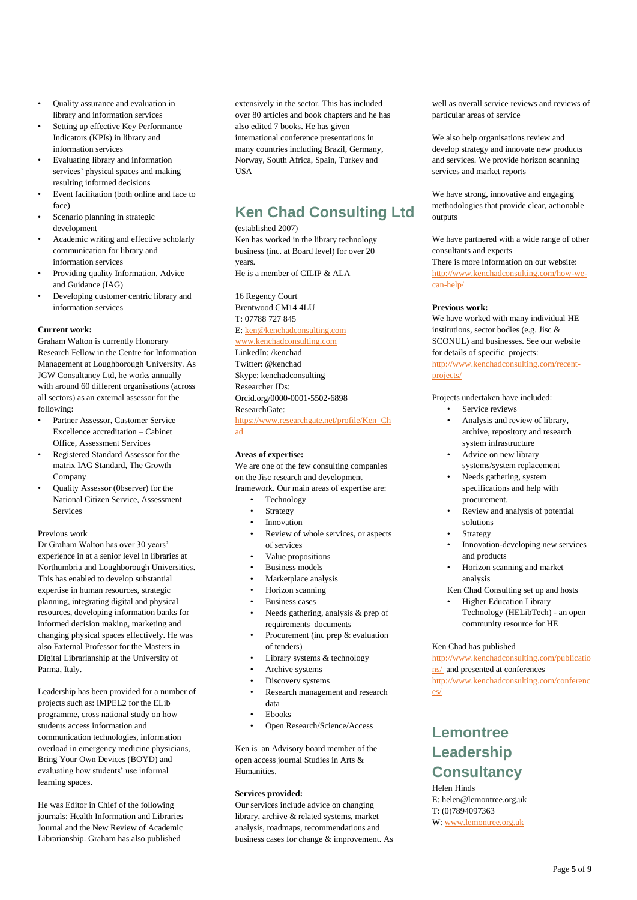- Quality assurance and evaluation in library and information services
- Setting up effective Key Performance Indicators (KPIs) in library and information services
- Evaluating library and information services' physical spaces and making resulting informed decisions
- Event facilitation (both online and face to face)
- Scenario planning in strategic development
- Academic writing and effective scholarly communication for library and information services
- Providing quality Information, Advice and Guidance (IAG)
- Developing customer centric library and information services

### **Current work:**

Graham Walton is currently Honorary Research Fellow in the Centre for Information Management at Loughborough University. As JGW Consultancy Ltd, he works annually with around 60 different organisations (across all sectors) as an external assessor for the following:

- Partner Assessor, Customer Service Excellence accreditation – Cabinet Office, Assessment Services
- Registered Standard Assessor for the matrix IAG Standard, The Growth Company
- Quality Assessor (0bserver) for the National Citizen Service, Assessment Services

### Previous work

Dr Graham Walton has over 30 years' experience in at a senior level in libraries at Northumbria and Loughborough Universities. This has enabled to develop substantial expertise in human resources, strategic planning, integrating digital and physical resources, developing information banks for informed decision making, marketing and changing physical spaces effectively. He was also External Professor for the Masters in Digital Librarianship at the University of Parma, Italy.

Leadership has been provided for a number of projects such as: IMPEL2 for the ELib programme, cross national study on how students access information and communication technologies, information overload in emergency medicine physicians, Bring Your Own Devices (BOYD) and evaluating how students' use informal learning spaces.

He was Editor in Chief of the following journals: Health Information and Libraries Journal and the New Review of Academic Librarianship. Graham has also published

extensively in the sector. This has included over 80 articles and book chapters and he has also edited 7 books. He has given international conference presentations in many countries including Brazil, Germany, Norway, South Africa, Spain, Turkey and USA

# **Ken Chad Consulting Ltd**

### (established 2007)

Ken has worked in the library technology business (inc. at Board level) for over 20 years. He is a member of CILIP & ALA

16 Regency Court Brentwood CM14 4LU T: 07788 727 845 E: ken@kenchadconsulting.com

## www.kenchadconsulting.com

LinkedIn: /kenchad Twitter: @kenchad Skype: kenchadconsulting Researcher IDs: Orcid.org/0000-0001-5502-6898

ResearchGate: https://www.researchgate.net/profile/Ken\_Ch

ad

### **Areas of expertise:**

We are one of the few consulting companies on the Jisc research and development framework. Our main areas of expertise are:

- **Technology**
- **Strategy**
- Innovation
- Review of whole services, or aspects of services
- Value propositions
- Business models
- Marketplace analysis
- Horizon scanning
- Business cases
- Needs gathering, analysis & prep of requirements documents
- Procurement (inc prep & evaluation of tenders)
- Library systems & technology
- Archive systems
- Discovery systems
- Research management and research data
- Ebooks
- Open Research/Science/Access

Ken is an Advisory board member of the open access journal Studies in Arts & Humanities.

### **Services provided:**

Our services include advice on changing library, archive & related systems, market analysis, roadmaps, recommendations and business cases for change & improvement. As well as overall service reviews and reviews of particular areas of service

We also help organisations review and develop strategy and innovate new products and services. We provide horizon scanning services and market reports

We have strong, innovative and engaging methodologies that provide clear, actionable outputs

We have partnered with a wide range of other consultants and experts

There is more information on our website: http://www.kenchadconsulting.com/how-wecan-help/

### **Previous work:**

We have worked with many individual HE institutions, sector bodies (e.g. Jisc & SCONUL) and businesses. See our website for details of specific projects: http://www.kenchadconsulting.com/recent-

projects/

### Projects undertaken have included:

- Service reviews
- Analysis and review of library, archive, repository and research system infrastructure
- Advice on new library systems/system replacement
- Needs gathering, system specifications and help with procurement.
- Review and analysis of potential solutions
- **Strategy**
- Innovation-developing new services and products
- Horizon scanning and market analysis

Ken Chad Consulting set up and hosts

• Higher Education Library Technology (HELibTech) - an open community resource for HE

### Ken Chad has published

http://www.kenchadconsulting.com/publicatio ns/ and presented at conferences http://www.kenchadconsulting.com/conferenc es/

# **Lemontree Leadership Consultancy**

Helen Hinds

E: helen@lemontree.org.uk T: (0)7894097363 W: www.lemontree.org.uk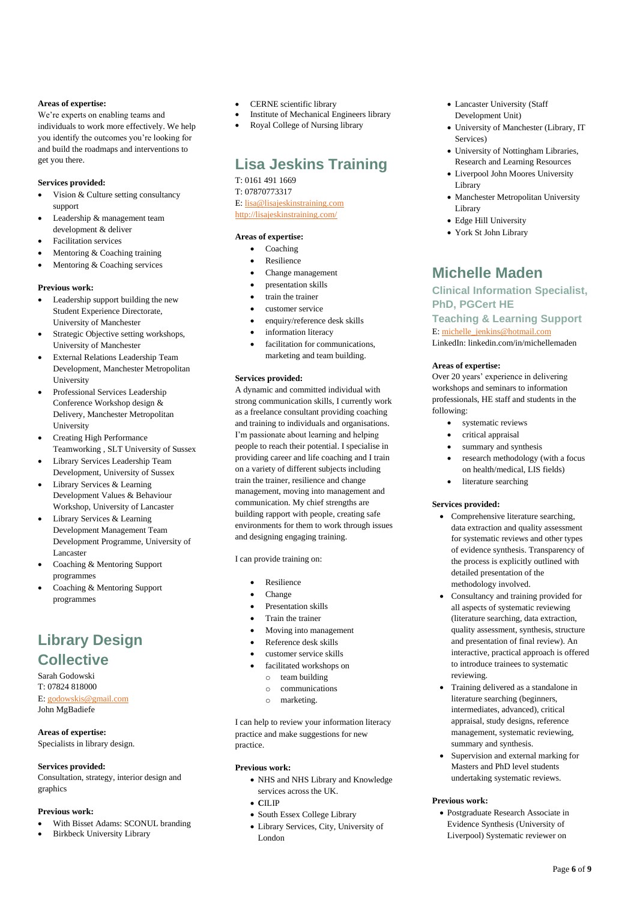### **Areas of expertise:**

We're experts on enabling teams and individuals to work more effectively. We help you identify the outcomes you're looking for and build the roadmaps and interventions to get you there.

### **Services provided:**

- Vision & Culture setting consultancy support
- Leadership & management team development & deliver
- Facilitation services
- Mentoring & Coaching training
- Mentoring & Coaching services

### **Previous work:**

- Leadership support building the new Student Experience Directorate, University of Manchester
- Strategic Objective setting workshops, University of Manchester
- External Relations Leadership Team Development, Manchester Metropolitan University
- Professional Services Leadership Conference Workshop design & Delivery, Manchester Metropolitan University
- Creating High Performance Teamworking , SLT University of Sussex
- Library Services Leadership Team Development, University of Sussex
- Library Services & Learning Development Values & Behaviour Workshop, University of Lancaster
- Library Services & Learning Development Management Team Development Programme, University of Lancaster
- Coaching & Mentoring Support programmes
- Coaching & Mentoring Support programmes

# **Library Design Collective**

Sarah Godowski T: 07824 818000 E: godowskis@gmail.com John MgBadiefe

### **Areas of expertise:**

Specialists in library design.

### **Services provided:**

Consultation, strategy, interior design and graphics

### **Previous work:**

- With Bisset Adams: SCONUL branding
- Birkbeck University Library
- CERNE scientific library
- Institute of Mechanical Engineers library
- Royal College of Nursing library

# **Lisa Jeskins Training**

T: 0161 491 1669 T: 07870773317 E: lisa@lisajeskinstraining.com http://lisajeskinstraining.com/

### **Areas of expertise:**

- Coaching
- **Resilience**
- Change management
- presentation skills
- train the trainer
- customer service
- enquiry/reference desk skills
- information literacy
- facilitation for communications, marketing and team building.

### **Services provided:**

A dynamic and committed individual with strong communication skills, I currently work as a freelance consultant providing coaching and training to individuals and organisations. I'm passionate about learning and helping people to reach their potential. I specialise in providing career and life coaching and I train on a variety of different subjects including train the trainer, resilience and change management, moving into management and communication. My chief strengths are building rapport with people, creating safe environments for them to work through issues and designing engaging training.

I can provide training on:

- Resilience
- Change
- Presentation skills
- Train the trainer
- Moving into management
- Reference desk skills
- customer service skills
- facilitated workshops on
	- o team building
	- o communications
	- o marketing.

I can help to review your information literacy practice and make suggestions for new practice.

### **Previous work:**

- NHS and NHS Library and Knowledge services across the UK.
- **C**ILIP
- South Essex College Library
- Library Services, City, University of London
- Lancaster University (Staff Development Unit)
- University of Manchester (Library, IT Services)
- University of Nottingham Libraries, Research and Learning Resources
- Liverpool John Moores University Library
- Manchester Metropolitan University Library
- Edge Hill University
- York St John Library

# **Michelle Maden**

### **Clinical Information Specialist, PhD, PGCert HE Teaching & Learning Support** E: michelle\_jenkins@hotmail.com LinkedIn: linkedin.com/in/michellemaden

### **Areas of expertise:**

Over 20 years' experience in delivering workshops and seminars to information professionals, HE staff and students in the following:

- systematic reviews
- critical appraisal
- summary and synthesis
- research methodology (with a focus on health/medical, LIS fields)
- literature searching

### **Services provided:**

- Comprehensive literature searching, data extraction and quality assessment for systematic reviews and other types of evidence synthesis. Transparency of the process is explicitly outlined with detailed presentation of the methodology involved.
- Consultancy and training provided for all aspects of systematic reviewing (literature searching, data extraction, quality assessment, synthesis, structure and presentation of final review). An interactive, practical approach is offered to introduce trainees to systematic reviewing.
- Training delivered as a standalone in literature searching (beginners, intermediates, advanced), critical appraisal, study designs, reference management, systematic reviewing, summary and synthesis.
- Supervision and external marking for Masters and PhD level students undertaking systematic reviews.

### **Previous work:**

• Postgraduate Research Associate in Evidence Synthesis (University of Liverpool) Systematic reviewer on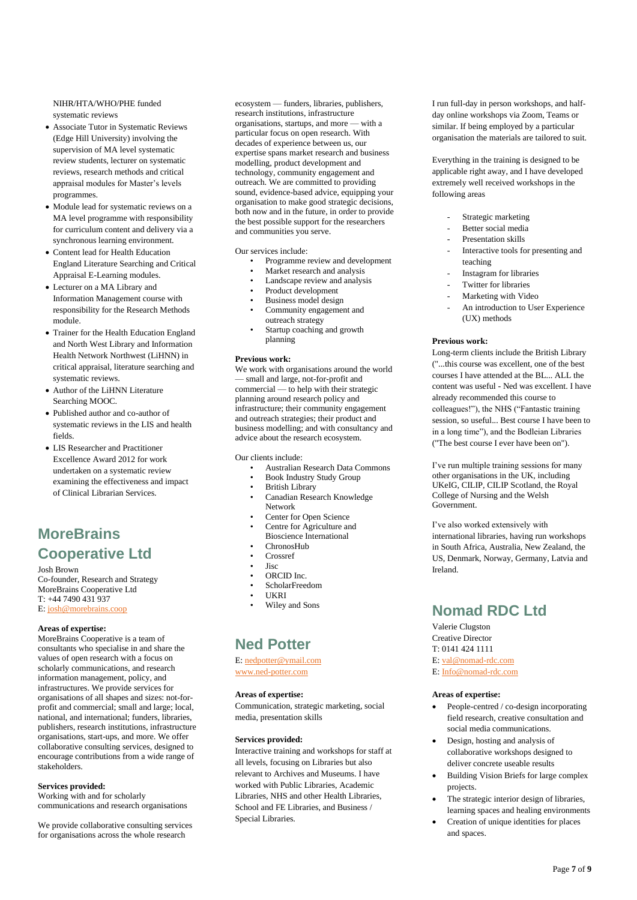### NIHR/HTA/WHO/PHE funded systematic reviews

- Associate Tutor in Systematic Reviews (Edge Hill University) involving the supervision of MA level systematic review students, lecturer on systematic reviews, research methods and critical appraisal modules for Master's levels programmes.
- Module lead for systematic reviews on a MA level programme with responsibility for curriculum content and delivery via a synchronous learning environment.
- Content lead for Health Education England Literature Searching and Critical Appraisal E-Learning modules.
- Lecturer on a MA Library and Information Management course with responsibility for the Research Methods module.
- Trainer for the Health Education England and North West Library and Information Health Network Northwest (LiHNN) in critical appraisal, literature searching and systematic reviews.
- Author of the LiHNN Literature Searching MOOC.
- Published author and co-author of systematic reviews in the LIS and health fields.
- LIS Researcher and Practitioner Excellence Award 2012 for work undertaken on a systematic review examining the effectiveness and impact of Clinical Librarian Services.

# **MoreBrains Cooperative Ltd**

#### Josh Brown

Co-founder, Research and Strategy MoreBrains Cooperative Ltd T: +44 7490 431 937 E: josh@morebrains.coop

### **Areas of expertise:**

MoreBrains Cooperative is a team of consultants who specialise in and share the values of open research with a focus on scholarly communications, and research information management, policy, and infrastructures. We provide services for organisations of all shapes and sizes: not-forprofit and commercial; small and large; local, national, and international; funders, libraries, publishers, research institutions, infrastructure organisations, start-ups, and more. We offer collaborative consulting services, designed to encourage contributions from a wide range of stakeholders.

### **Services provided:**

Working with and for scholarly communications and research organisations

We provide collaborative consulting services for organisations across the whole research

ecosystem — funders, libraries, publishers, research institutions, infrastructure organisations, startups, and more — with a particular focus on open research. With decades of experience between us, our expertise spans market research and business modelling, product development and technology, community engagement and outreach. We are committed to providing sound, evidence-based advice, equipping your organisation to make good strategic decisions, both now and in the future, in order to provide the best possible support for the researchers and communities you serve.

Our services include:

- Programme review and development
- Market research and analysis
- Landscape review and analysis
- Product development
- Business model design
- Community engagement and
- outreach strategy Startup coaching and growth planning

### **Previous work:**

We work with organisations around the world small and large, not-for-profit and commercial — to help with their strategic planning around research policy and infrastructure; their community engagement and outreach strategies; their product and business modelling; and with consultancy and advice about the research ecosystem.

Our clients include:

- Australian Research Data Commons
- Book Industry Study Group
- **British Library**
- Canadian Research Knowledge Network
- Center for Open Science
- Centre for Agriculture and Bioscience International
- ChronosHub
- Crossref
- Jisc
- ORCID Inc.
- ScholarFreedom
- UKRI
- Wiley and Sons

## **Ned Potter**

E: nedpotter@ymail.com www.ned-potter.com

### **Areas of expertise:**

Communication, strategic marketing, social media, presentation skills

### **Services provided:**

Interactive training and workshops for staff at all levels, focusing on Libraries but also relevant to Archives and Museums. I have worked with Public Libraries, Academic Libraries, NHS and other Health Libraries, School and FE Libraries, and Business / Special Libraries.

I run full-day in person workshops, and halfday online workshops via Zoom, Teams or similar. If being employed by a particular organisation the materials are tailored to suit.

Everything in the training is designed to be applicable right away, and I have developed extremely well received workshops in the following areas

- Strategic marketing
- Better social media
- Presentation skills
- Interactive tools for presenting and teaching
- Instagram for libraries
- Twitter for libraries
- Marketing with Video
- An introduction to User Experience (UX) methods

#### **Previous work:**

Long-term clients include the British Library ("...this course was excellent, one of the best courses I have attended at the BL... ALL the content was useful - Ned was excellent. I have already recommended this course to colleagues!"), the NHS ("Fantastic training session, so useful... Best course I have been to in a long time"), and the Bodleian Libraries ("The best course I ever have been on").

I've run multiple training sessions for many other organisations in the UK, including UKeIG, CILIP, CILIP Scotland, the Royal College of Nursing and the Welsh Government.

I've also worked extensively with international libraries, having run workshops in South Africa, Australia, New Zealand, the US, Denmark, Norway, Germany, Latvia and Ireland.

## **Nomad RDC Ltd**

Valerie Clugston Creative Director T: 0141 424 1111 E: val@nomad-rdc.com E: Info@nomad-rdc.com

### **Areas of expertise:**

- People-centred / co-design incorporating field research, creative consultation and social media communications.
- Design, hosting and analysis of collaborative workshops designed to deliver concrete useable results
- Building Vision Briefs for large complex projects.
- The strategic interior design of libraries, learning spaces and healing environments
- Creation of unique identities for places and spaces.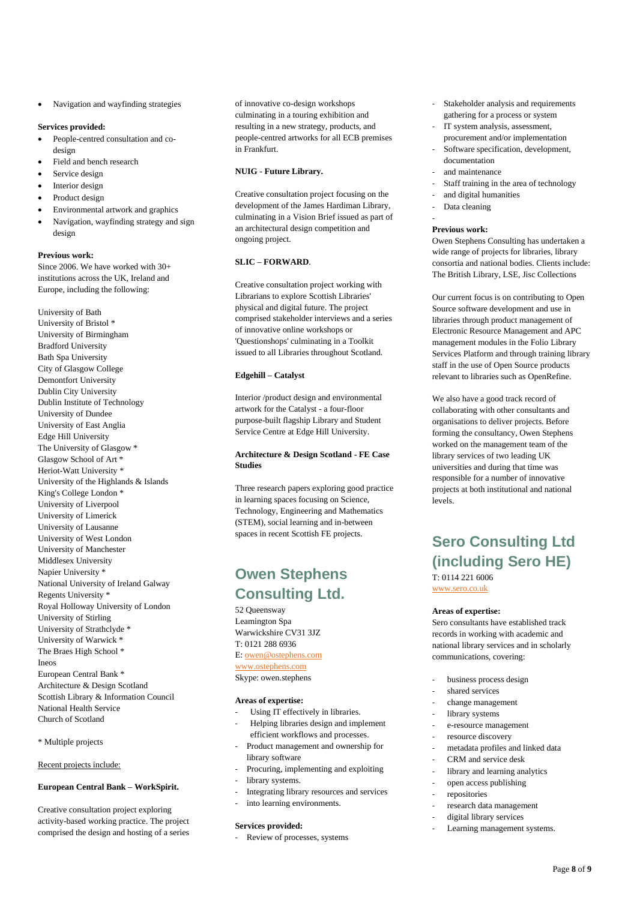• Navigation and wayfinding strategies

### **Services provided:**

- People-centred consultation and codesign
- Field and bench research
- Service design
- Interior design
- Product design
- Environmental artwork and graphics
- Navigation, wayfinding strategy and sign design

### **Previous work:**

Since 2006. We have worked with 30+ institutions across the UK, Ireland and Europe, including the following:

University of Bath University of Bristol \* University of Birmingham Bradford University Bath Spa University City of Glasgow College Demontfort University Dublin City University Dublin Institute of Technology University of Dundee University of East Anglia Edge Hill University The University of Glasgow \* Glasgow School of Art \* Heriot-Watt University \* University of the Highlands & Islands King's College London \* University of Liverpool University of Limerick University of Lausanne University of West London University of Manchester Middlesex University Napier University \* National University of Ireland Galway Regents University \* Royal Holloway University of London University of Stirling University of Strathclyde \* University of Warwick \* The Braes High School \* Ineos European Central Bank \* Architecture & Design Scotland Scottish Library & Information Council National Health Service Church of Scotland

\* Multiple projects

Recent projects include:

### **European Central Bank – WorkSpirit.**

Creative consultation project exploring activity-based working practice. The project comprised the design and hosting of a series

of innovative co-design workshops culminating in a touring exhibition and resulting in a new strategy, products, and people-centred artworks for all ECB premises in Frankfurt.

### **NUIG - Future Library.**

Creative consultation project focusing on the development of the James Hardiman Library, culminating in a Vision Brief issued as part of an architectural design competition and ongoing project.

### **SLIC – FORWARD**.

Creative consultation project working with Librarians to explore Scottish Libraries' physical and digital future. The project comprised stakeholder interviews and a series of innovative online workshops or 'Questionshops' culminating in a Toolkit issued to all Libraries throughout Scotland.

### **Edgehill – Catalyst**

Interior /product design and environmental artwork for the Catalyst - a four-floor purpose-built flagship Library and Student Service Centre at Edge Hill University.

### **Architecture & Design Scotland - FE Case Studies**

Three research papers exploring good practice in learning spaces focusing on Science, Technology, Engineering and Mathematics (STEM), social learning and in-between spaces in recent Scottish FE projects.

## **Owen Stephens Consulting Ltd.**

52 Queensway Leamington Spa Warwickshire CV31 3JZ T: 0121 288 6936 E: owen@ostephens.com www.ostephens.com Skype: owen.stephens

### **Areas of expertise:**

- Using IT effectively in libraries.
- Helping libraries design and implement efficient workflows and processes.
- Product management and ownership for library software
- Procuring, implementing and exploiting
- library systems.
- Integrating library resources and services
- into learning environments.

### **Services provided:**

Review of processes, systems

- Stakeholder analysis and requirements gathering for a process or system
- IT system analysis, assessment, procurement and/or implementation
- Software specification, development, documentation
- and maintenance
- Staff training in the area of technology
- and digital humanities
- Data cleaning

### **Previous work:**

-

Owen Stephens Consulting has undertaken a wide range of projects for libraries, library consortia and national bodies. Clients include: The British Library, LSE, Jisc Collections

Our current focus is on contributing to Open Source software development and use in libraries through product management of Electronic Resource Management and APC management modules in the Folio Library Services Platform and through training library staff in the use of Open Source products relevant to libraries such as OpenRefine.

We also have a good track record of collaborating with other consultants and organisations to deliver projects. Before forming the consultancy, Owen Stephens worked on the management team of the library services of two leading UK universities and during that time was responsible for a number of innovative projects at both institutional and national levels.

## **Sero Consulting Ltd (including Sero HE)** T: 0114 221 6006

www.sero.co.uk

#### **Areas of expertise:**

Sero consultants have established track records in working with academic and national library services and in scholarly communications, covering:

- business process design
- shared services
- change management
- library systems
- e-resource management
- resource discovery
- metadata profiles and linked data
- CRM and service desk
- library and learning analytics
- open access publishing
- repositories
- research data management
- digital library services
- Learning management systems.